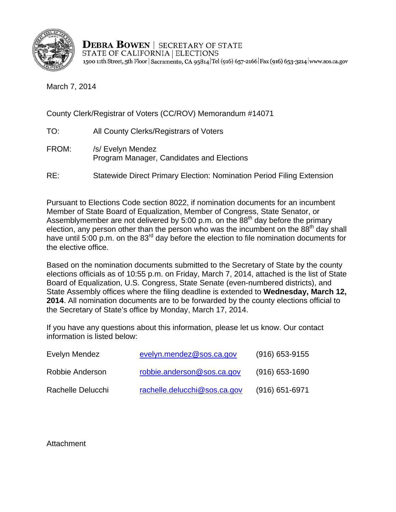

**DEBRA BOWEN** | SECRETARY OF STATE STATE OF CALIFORNIA | ELECTIONS 1500 11th Street, 5th Floor | Sacramento, CA 95814 Tel (916) 657-2166 Fax (916) 653-3214 www.sos.ca.gov

March 7, 2014

County Clerk/Registrar of Voters (CC/ROV) Memorandum #14071

- TO: All County Clerks/Registrars of Voters
- FROM: /s/ Evelyn Mendez Program Manager, Candidates and Elections
- RE: Statewide Direct Primary Election: Nomination Period Filing Extension

Pursuant to Elections Code section 8022, if nomination documents for an incumbent Member of State Board of Equalization, Member of Congress, State Senator, or Assemblymember are not delivered by 5:00 p.m. on the  $88<sup>th</sup>$  day before the primary election, any person other than the person who was the incumbent on the  $88<sup>th</sup>$  day shall have until 5:00 p.m. on the 83<sup>rd</sup> day before the election to file nomination documents for the elective office.

Based on the nomination documents submitted to the Secretary of State by the county elections officials as of 10:55 p.m. on Friday, March 7, 2014, attached is the list of State Board of Equalization, U.S. Congress, State Senate (even-numbered districts), and State Assembly offices where the filing deadline is extended to **Wednesday, March 12, 2014**. All nomination documents are to be forwarded by the county elections official to the Secretary of State's office by Monday, March 17, 2014.

If you have any questions about this information, please let us know. Our contact information is listed below:

| Evelyn Mendez     | evelyn.mendez@sos.ca.gov     | $(916)$ 653-9155 |
|-------------------|------------------------------|------------------|
| Robbie Anderson   | robbie.anderson@sos.ca.gov   | $(916)$ 653-1690 |
| Rachelle Delucchi | rachelle.delucchi@sos.ca.gov | $(916)$ 651-6971 |

**Attachment**